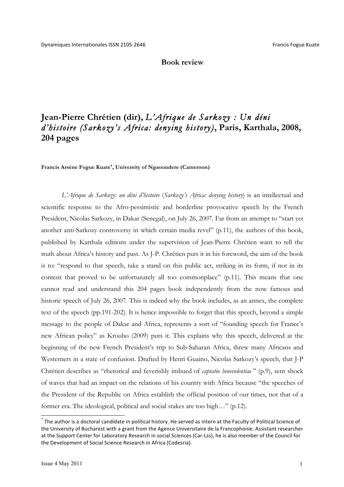**Book review**

## **Jean-Pierre Chrétien (dir),** *L'Afrique de Sarkozy : Un déni d'histoire (Sarkozy's Africa: denying history)***, Paris, Karthala, 2008, 204 pages**

**Francis Arsène Fogue Kuate\*, University of Ngaoundere (Cameroon)**

*L'Afrique de Sarkozy: un déni d'histoire* (*Sarkozy's Africa: denying history*) is an intellectual and scientific response to the Afro-pessimistic and borderline provocative speech by the French President, Nicolas Sarkozy, in Dakar (Senegal), on July 26, 2007. Far from an attempt to "start yet another anti-Sarkozy controversy in which certain media revel" (p.11), the authors of this book, published by Karthala editions under the supervision of Jean-Pierre Chrétien want to tell the truth about Africa's history and past. As J-P. Chrétien puts it in his foreword, the aim of the book is to: "respond to that speech, take a stand on this public act, striking in its form, if not in its content that proved to be unfortunately all too commonplace" (p.11). This means that one cannot read and understand this 204 pages book independently from the now famous and historic speech of July 26, 2007. This is indeed why the book includes, as an annex, the complete text of the speech (pp.191-202). It is hence impossible to forget that this speech, beyond a simple message to the people of Dakar and Africa, represents a sort of "founding speech for France's new African policy" as Kroubo (2009) puts it. This explains why this speech, delivered at the beginning of the new French President's trip to Sub-Saharan Africa, threw many Africans and Westerners in a state of confusion. Drafted by Henri Guaino, Nicolas Sarkozy's speech, that J-P Chrétien describes as "rhetorical and feverishly imbued of *captatio benevolentiae* " (p.9), sent shock of waves that had an impact on the relations of his country with Africa because "the speeches of the President of the Republic on Africa establish the official position of our times, not that of a former era. The ideological, political and social stakes are too high…" (p.12).

 $^*$  The author is a doctoral candidate in political history. He served as intern at the Faculty of Political Science of the University of Bucharest with a grant from the Agence Universitaire de la Francophonie. Assistant researcher at the Support Center for Laboratory Research in social Sciences (Car-Lss), he is also member of the Council for the Development of Social Science Research in Africa (Codesria).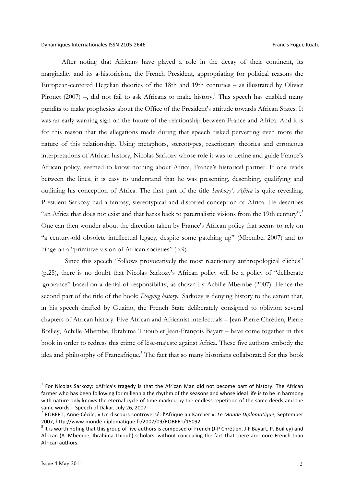After noting that Africans have played a role in the decay of their continent, its marginality and its a-historicism, the French President, appropriating for political reasons the European-centered Hegelian theories of the 18th and 19th centuries – as illustrated by Olivier Pironet (2007) –, did not fail to ask Africans to make history.<sup>1</sup> This speech has enabled many pundits to make prophesies about the Office of the President's attitude towards African States. It was an early warning sign on the future of the relationship between France and Africa. And it is for this reason that the allegations made during that speech risked perverting even more the nature of this relationship. Using metaphors, stereotypes, reactionary theories and erroneous interpretations of African history, Nicolas Sarkozy whose role it was to define and guide France's African policy, seemed to know nothing about Africa, France's historical partner. If one reads between the lines, it is easy to understand that he was presenting, describing, qualifying and outlining his conception of Africa. The first part of the title *Sarkozy's Africa* is quite revealing. President Sarkozy had a fantasy, stereotypical and distorted conception of Africa. He describes "an Africa that does not exist and that harks back to paternalistic visions from the 19th century".<sup>2</sup> One can then wonder about the direction taken by France's African policy that seems to rely on "a century-old obsolete intellectual legacy, despite some patching up" (Mbembe, 2007) and to hinge on a "primitive vision of African societies" (p.9).

 Since this speech "follows provocatively the most reactionary anthropological clichés" (p.25), there is no doubt that Nicolas Sarkozy's African policy will be a policy of "deliberate ignorance" based on a denial of responsibility, as shown by Achille Mbembe (2007). Hence the second part of the title of the book: *Denying history*. Sarkozy is denying history to the extent that, in his speech drafted by Guaino, the French State deliberately consigned to oblivion several chapters of African history. Five African and Africanist intellectuals – Jean-Pierre Chrétien, Pierre Boilley, Achille Mbembe, Ibrahima Thioub et Jean-François Bayart – have come together in this book in order to redress this crime of lèse-majesté against Africa. These five authors embody the idea and philosophy of Françafrique.<sup>3</sup> The fact that so many historians collaborated for this book

 $1$  For Nicolas Sarkozy: «Africa's tragedy is that the African Man did not become part of history. The African farmer who has been following for millennia the rhythm of the seasons and whose ideal life is to be in harmony with nature only knows the eternal cycle of time marked by the endless repetition of the same deeds and the same words.» Speech of Dakar, July 26, 2007<br><sup>2</sup> ROBERT, Anne-Cécile, « Un discours controversé: l'Afrique au Kärcher », *Le Monde Diplomatique*, September

<sup>2007,</sup> http://www.monde-diplomatique.fr/2007/09/ROBERT/15092<br> $3$  It is worth noting that this group of five authors is composed of French (J-P Chrétien, J-F Bayart, P. Boilley) and

African (A. Mbembe, Ibrahima Thioub) scholars, without concealing the fact that there are more French than African authors.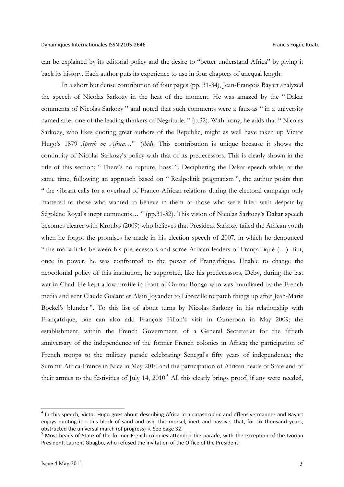can be explained by its editorial policy and the desire to "better understand Africa" by giving it back its history. Each author puts its experience to use in four chapters of unequal length.

In a short but dense contribution of four pages (pp. 31-34), Jean-François Bayart analyzed the speech of Nicolas Sarkozy in the heat of the moment. He was amazed by the " Dakar comments of Nicolas Sarkozy " and noted that such comments were a faux-as " in a university named after one of the leading thinkers of Negritude. " (p.32). With irony, he adds that " Nicolas Sarkozy, who likes quoting great authors of the Republic, might as well have taken up Victor Hugo's 1879 *Speech on Africa*…"4 (*ibid*). This contribution is unique because it shows the continuity of Nicolas Sarkozy's policy with that of its predecessors. This is clearly shown in the title of this section: " There's no rupture, boss! ". Deciphering the Dakar speech while, at the same time, following an approach based on " Realpolitik pragmatism ", the author posits that " the vibrant calls for a overhaul of Franco-African relations during the electoral campaign only mattered to those who wanted to believe in them or those who were filled with despair by Ségolène Royal's inept comments… " (pp.31-32). This vision of Nicolas Sarkozy's Dakar speech becomes clearer with Kroubo (2009) who believes that President Sarkozy failed the African youth when he forgot the promises he made in his election speech of 2007, in which he denounced " the mafia links between his predecessors and some African leaders of Françafrique (…). But, once in power, he was confronted to the power of Françafrique. Unable to change the neocolonial policy of this institution, he supported, like his predecessors, Déby, during the last war in Chad. He kept a low profile in front of Oumar Bongo who was humiliated by the French media and sent Claude Guéant et Alain Joyandet to Libreville to patch things up after Jean-Marie Bockel's blunder ". To this list of about turns by Nicolas Sarkozy in his relationship with Françafrique, one can also add François Fillon's visit in Cameroon in May 2009; the establishment, within the French Government, of a General Secretariat for the fiftieth anniversary of the independence of the former French colonies in Africa; the participation of French troops to the military parade celebrating Senegal's fifty years of independence; the Summit Africa-France in Nice in May 2010 and the participation of African heads of State and of their armies to the festivities of July 14, 2010.<sup>5</sup> All this clearly brings proof, if any were needed,

 $4$  In this speech, Victor Hugo goes about describing Africa in a catastrophic and offensive manner and Bayart enjoys quoting it: « this block of sand and ash, this morsel, inert and passive, that, for six thousand years, obstructed the universal march (of progress) ». See page 32.<br><sup>5</sup> Most heads of State of the former French colonies attended the parade, with the exception of the Ivorian

President, Laurent Gbagbo, who refused the invitation of the Office of the President.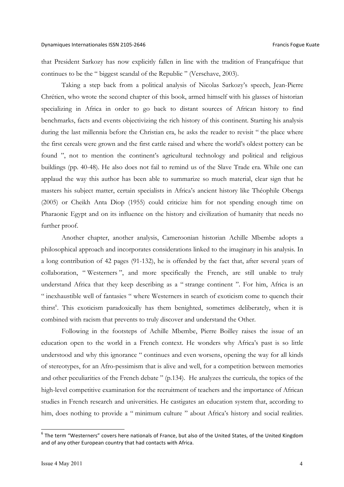that President Sarkozy has now explicitly fallen in line with the tradition of Françafrique that continues to be the " biggest scandal of the Republic " (Verschave, 2003).

Taking a step back from a political analysis of Nicolas Sarkozy's speech, Jean-Pierre Chrétien, who wrote the second chapter of this book, armed himself with his glasses of historian specializing in Africa in order to go back to distant sources of African history to find benchmarks, facts and events objectivizing the rich history of this continent. Starting his analysis during the last millennia before the Christian era, he asks the reader to revisit " the place where the first cereals were grown and the first cattle raised and where the world's oldest pottery can be found ", not to mention the continent's agricultural technology and political and religious buildings (pp. 40-48). He also does not fail to remind us of the Slave Trade era. While one can applaud the way this author has been able to summarize so much material, clear sign that he masters his subject matter, certain specialists in Africa's ancient history like Théophile Obenga (2005) or Cheikh Anta Diop (1955) could criticize him for not spending enough time on Pharaonic Egypt and on its influence on the history and civilization of humanity that needs no further proof.

Another chapter, another analysis, Cameroonian historian Achille Mbembe adopts a philosophical approach and incorporates considerations linked to the imaginary in his analysis. In a long contribution of 42 pages (91-132), he is offended by the fact that, after several years of collaboration, " Westerners ", and more specifically the French, are still unable to truly understand Africa that they keep describing as a " strange continent ". For him, Africa is an " inexhaustible well of fantasies " where Westerners in search of exoticism come to quench their thirst<sup>6</sup>. This exoticism paradoxically has them benighted, sometimes deliberately, when it is combined with racism that prevents to truly discover and understand the Other.

Following in the footsteps of Achille Mbembe, Pierre Boilley raises the issue of an education open to the world in a French context. He wonders why Africa's past is so little understood and why this ignorance " continues and even worsens, opening the way for all kinds of stereotypes, for an Afro-pessimism that is alive and well, for a competition between memories and other peculiarities of the French debate " (p.134). He analyzes the curricula, the topics of the high-level competitive examination for the recruitment of teachers and the importance of African studies in French research and universities. He castigates an education system that, according to him, does nothing to provide a " minimum culture " about Africa's history and social realities.

 $6$  The term "Westerners" covers here nationals of France, but also of the United States, of the United Kingdom and of any other European country that had contacts with Africa.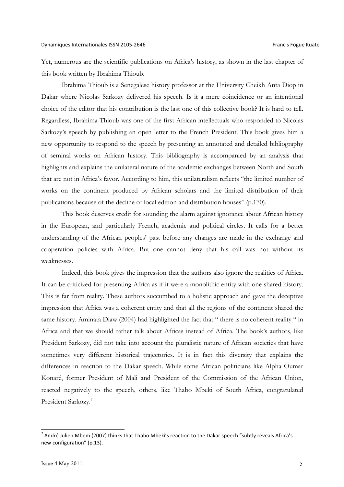Yet, numerous are the scientific publications on Africa's history, as shown in the last chapter of this book written by Ibrahima Thioub.

Ibrahima Thioub is a Senegalese history professor at the University Cheikh Anta Diop in Dakar where Nicolas Sarkozy delivered his speech. Is it a mere coincidence or an intentional choice of the editor that his contribution is the last one of this collective book? It is hard to tell. Regardless, Ibrahima Thioub was one of the first African intellectuals who responded to Nicolas Sarkozy's speech by publishing an open letter to the French President. This book gives him a new opportunity to respond to the speech by presenting an annotated and detailed bibliography of seminal works on African history. This bibliography is accompanied by an analysis that highlights and explains the unilateral nature of the academic exchanges between North and South that are not in Africa's favor. According to him, this unilateralism reflects "the limited number of works on the continent produced by African scholars and the limited distribution of their publications because of the decline of local edition and distribution houses" (p.170).

This book deserves credit for sounding the alarm against ignorance about African history in the European, and particularly French, academic and political circles. It calls for a better understanding of the African peoples' past before any changes are made in the exchange and cooperation policies with Africa. But one cannot deny that his call was not without its weaknesses.

Indeed, this book gives the impression that the authors also ignore the realities of Africa. It can be criticized for presenting Africa as if it were a monolithic entity with one shared history. This is far from reality. These authors succumbed to a holistic approach and gave the deceptive impression that Africa was a coherent entity and that all the regions of the continent shared the same history. Aminata Diaw (2004) had highlighted the fact that " there is no coherent reality " in Africa and that we should rather talk about Africas instead of Africa. The book's authors, like President Sarkozy, did not take into account the pluralistic nature of African societies that have sometimes very different historical trajectories. It is in fact this diversity that explains the differences in reaction to the Dakar speech. While some African politicians like Alpha Oumar Konaré, former President of Mali and President of the Commission of the African Union, reacted negatively to the speech, others, like Thabo Mbeki of South Africa, congratulated President Sarkozy.<sup>7</sup>

 $^7$  André Julien Mbem (2007) thinks that Thabo Mbeki's reaction to the Dakar speech "subtly reveals Africa's new configuration" (p.13).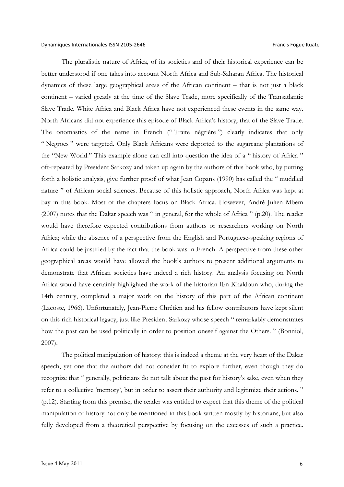The pluralistic nature of Africa, of its societies and of their historical experience can be better understood if one takes into account North Africa and Sub-Saharan Africa. The historical dynamics of these large geographical areas of the African continent – that is not just a black continent – varied greatly at the time of the Slave Trade, more specifically of the Transatlantic Slave Trade. White Africa and Black Africa have not experienced these events in the same way. North Africans did not experience this episode of Black Africa's history, that of the Slave Trade. The onomastics of the name in French (" Traite négrière ") clearly indicates that only " Negroes " were targeted. Only Black Africans were deported to the sugarcane plantations of the "New World." This example alone can call into question the idea of a " history of Africa " oft-repeated by President Sarkozy and taken up again by the authors of this book who, by putting forth a holistic analysis, give further proof of what Jean Copans (1990) has called the " muddled nature " of African social sciences. Because of this holistic approach, North Africa was kept at bay in this book. Most of the chapters focus on Black Africa. However, André Julien Mbem (2007) notes that the Dakar speech was " in general, for the whole of Africa " (p.20). The reader would have therefore expected contributions from authors or researchers working on North Africa; while the absence of a perspective from the English and Portuguese-speaking regions of Africa could be justified by the fact that the book was in French. A perspective from these other geographical areas would have allowed the book's authors to present additional arguments to demonstrate that African societies have indeed a rich history. An analysis focusing on North Africa would have certainly highlighted the work of the historian Ibn Khaldoun who, during the 14th century, completed a major work on the history of this part of the African continent (Lacoste, 1966). Unfortunately, Jean-Pierre Chrétien and his fellow contributors have kept silent on this rich historical legacy, just like President Sarkozy whose speech " remarkably demonstrates how the past can be used politically in order to position oneself against the Others. " (Bonniol, 2007).

The political manipulation of history: this is indeed a theme at the very heart of the Dakar speech, yet one that the authors did not consider fit to explore further, even though they do recognize that " generally, politicians do not talk about the past for history's sake, even when they refer to a collective 'memory', but in order to assert their authority and legitimize their actions. " (p.12). Starting from this premise, the reader was entitled to expect that this theme of the political manipulation of history not only be mentioned in this book written mostly by historians, but also fully developed from a theoretical perspective by focusing on the excesses of such a practice.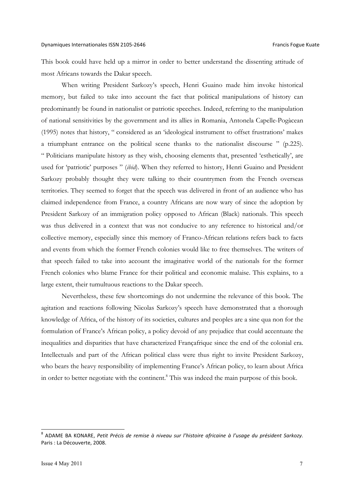This book could have held up a mirror in order to better understand the dissenting attitude of most Africans towards the Dakar speech.

When writing President Sarkozy's speech, Henri Guaino made him invoke historical memory, but failed to take into account the fact that political manipulations of history can predominantly be found in nationalist or patriotic speeches. Indeed, referring to the manipulation of national sensitivities by the government and its allies in Romania, Antonela Capelle-Pogàcean (1995) notes that history, " considered as an 'ideological instrument to offset frustrations' makes a triumphant entrance on the political scene thanks to the nationalist discourse " (p.225). " Politicians manipulate history as they wish, choosing elements that, presented 'esthetically', are used for 'patriotic' purposes " (*ibid*). When they referred to history, Henri Guaino and President Sarkozy probably thought they were talking to their countrymen from the French overseas territories. They seemed to forget that the speech was delivered in front of an audience who has claimed independence from France, a country Africans are now wary of since the adoption by President Sarkozy of an immigration policy opposed to African (Black) nationals. This speech was thus delivered in a context that was not conducive to any reference to historical and/or collective memory, especially since this memory of Franco-African relations refers back to facts and events from which the former French colonies would like to free themselves. The writers of that speech failed to take into account the imaginative world of the nationals for the former French colonies who blame France for their political and economic malaise. This explains, to a large extent, their tumultuous reactions to the Dakar speech.

Nevertheless, these few shortcomings do not undermine the relevance of this book. The agitation and reactions following Nicolas Sarkozy's speech have demonstrated that a thorough knowledge of Africa, of the history of its societies, cultures and peoples are a sine qua non for the formulation of France's African policy, a policy devoid of any prejudice that could accentuate the inequalities and disparities that have characterized Françafrique since the end of the colonial era. Intellectuals and part of the African political class were thus right to invite President Sarkozy, who bears the heavy responsibility of implementing France's African policy, to learn about Africa in order to better negotiate with the continent.<sup>8</sup> This was indeed the main purpose of this book.

<sup>&</sup>lt;sup>8</sup> ADAME BA KONARE, Petit Précis de remise à niveau sur l'histoire africaine à l'usage du président Sarkozy. Paris : La Découverte, 2008.